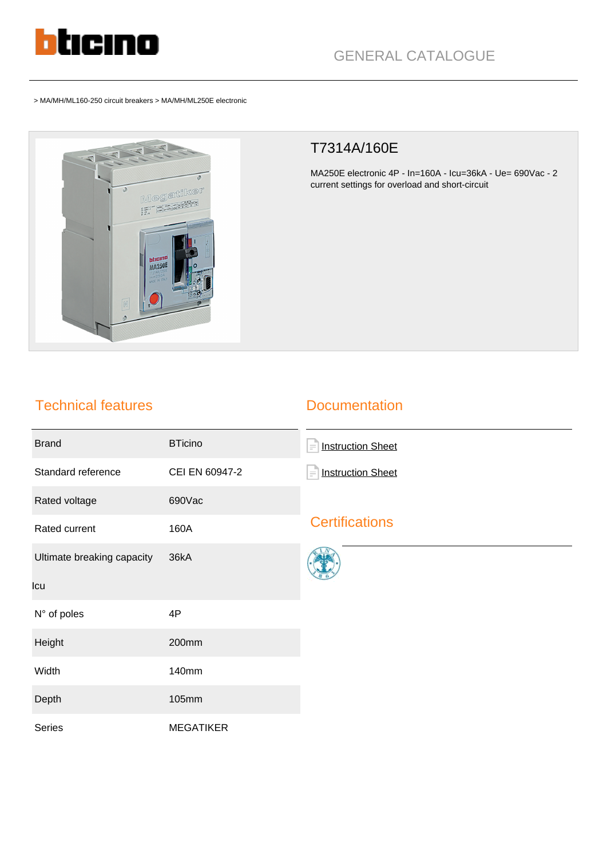

> MA/MH/ML160-250 circuit breakers > MA/MH/ML250E electronic



## T7314A/160E

MA250E electronic 4P - In=160A - Icu=36kA - Ue= 690Vac - 2 current settings for overload and short-circuit

## Technical features

## **Documentation**

| <b>Brand</b>               | <b>BTicino</b>   | F<br><b>Instruction Sheet</b>        |
|----------------------------|------------------|--------------------------------------|
| Standard reference         | CEI EN 60947-2   | <b>Instruction Sheet</b><br>$\equiv$ |
| Rated voltage              | 690Vac           |                                      |
| Rated current              | 160A             | <b>Certifications</b>                |
| Ultimate breaking capacity | 36kA             |                                      |
| Icu                        |                  |                                      |
| N° of poles                | 4P               |                                      |
| Height                     | 200mm            |                                      |
| Width                      | 140mm            |                                      |
| Depth                      | 105mm            |                                      |
| Series                     | <b>MEGATIKER</b> |                                      |